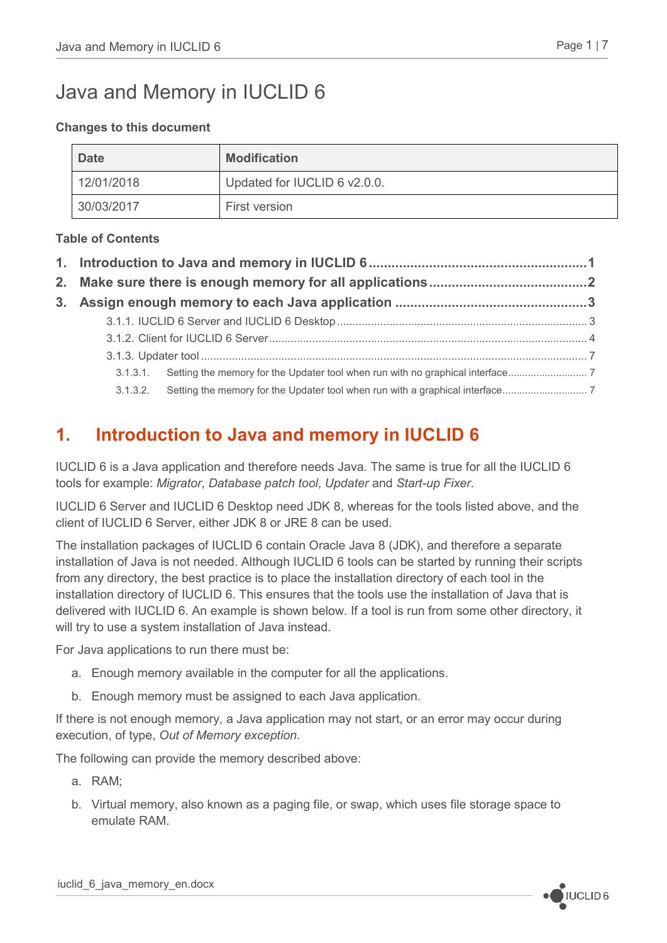# Java and Memory in IUCLID 6

#### **Changes to this document**

| <b>Date</b> | <b>Modification</b>          |
|-------------|------------------------------|
| 12/01/2018  | Updated for IUCLID 6 v2.0.0. |
| 30/03/2017  | First version                |

#### **Table of Contents**

## <span id="page-0-0"></span>**1. Introduction to Java and memory in IUCLID 6**

IUCLID 6 is a Java application and therefore needs Java. The same is true for all the IUCLID 6 tools for example: *Migrator*, *Database patch tool*, *Updater* and *Start-up Fixer*.

IUCLID 6 Server and IUCLID 6 Desktop need JDK 8, whereas for the tools listed above, and the client of IUCLID 6 Server, either JDK 8 or JRE 8 can be used.

The installation packages of IUCLID 6 contain Oracle Java 8 (JDK), and therefore a separate installation of Java is not needed. Although IUCLID 6 tools can be started by running their scripts from any directory, the best practice is to place the installation directory of each tool in the installation directory of IUCLID 6. This ensures that the tools use the installation of Java that is delivered with IUCLID 6. An example is shown below. If a tool is run from some other directory, it will try to use a system installation of Java instead.

For Java applications to run there must be:

- a. Enough memory available in the computer for all the applications.
- b. Enough memory must be assigned to each Java application.

If there is not enough memory, a Java application may not start, or an error may occur during execution, of type, *Out of Memory exception*.

The following can provide the memory described above:

- a. RAM;
- b. Virtual memory, also known as a paging file, or swap, which uses file storage space to emulate RAM.

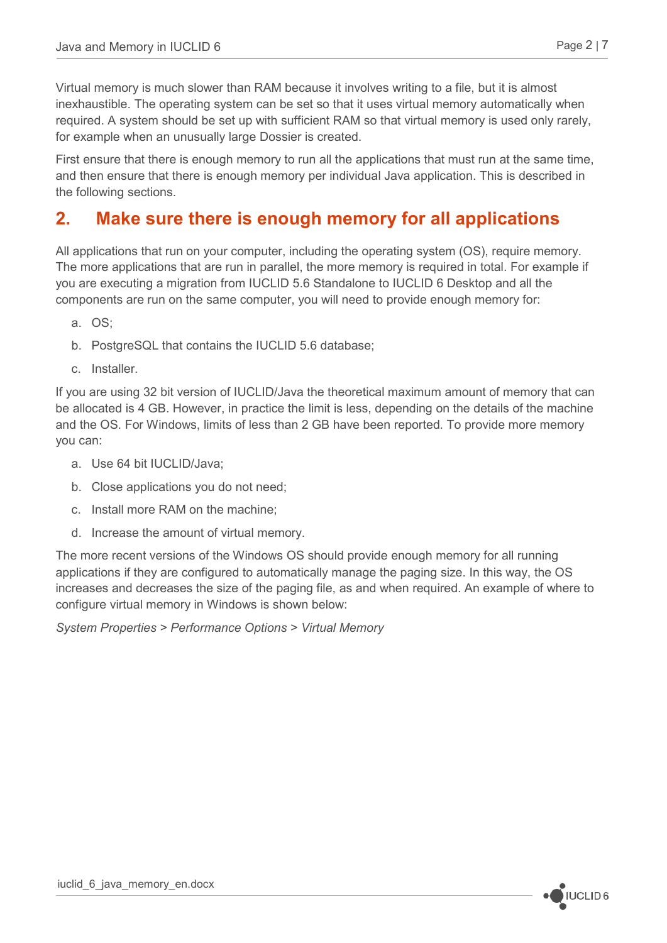Virtual memory is much slower than RAM because it involves writing to a file, but it is almost inexhaustible. The operating system can be set so that it uses virtual memory automatically when required. A system should be set up with sufficient RAM so that virtual memory is used only rarely, for example when an unusually large Dossier is created.

First ensure that there is enough memory to run all the applications that must run at the same time, and then ensure that there is enough memory per individual Java application. This is described in the following sections.

### <span id="page-1-0"></span>**2. Make sure there is enough memory for all applications**

All applications that run on your computer, including the operating system (OS), require memory. The more applications that are run in parallel, the more memory is required in total. For example if you are executing a migration from IUCLID 5.6 Standalone to IUCLID 6 Desktop and all the components are run on the same computer, you will need to provide enough memory for:

- a. OS;
- b. PostgreSQL that contains the IUCLID 5.6 database;
- c. Installer.

If you are using 32 bit version of IUCLID/Java the theoretical maximum amount of memory that can be allocated is 4 GB. However, in practice the limit is less, depending on the details of the machine and the OS. For Windows, limits of less than 2 GB have been reported. To provide more memory you can:

- a. Use 64 bit IUCLID/Java;
- b. Close applications you do not need;
- c. Install more RAM on the machine;
- d. Increase the amount of virtual memory.

The more recent versions of the Windows OS should provide enough memory for all running applications if they are configured to automatically manage the paging size. In this way, the OS increases and decreases the size of the paging file, as and when required. An example of where to configure virtual memory in Windows is shown below:

*System Properties > Performance Options > Virtual Memory*

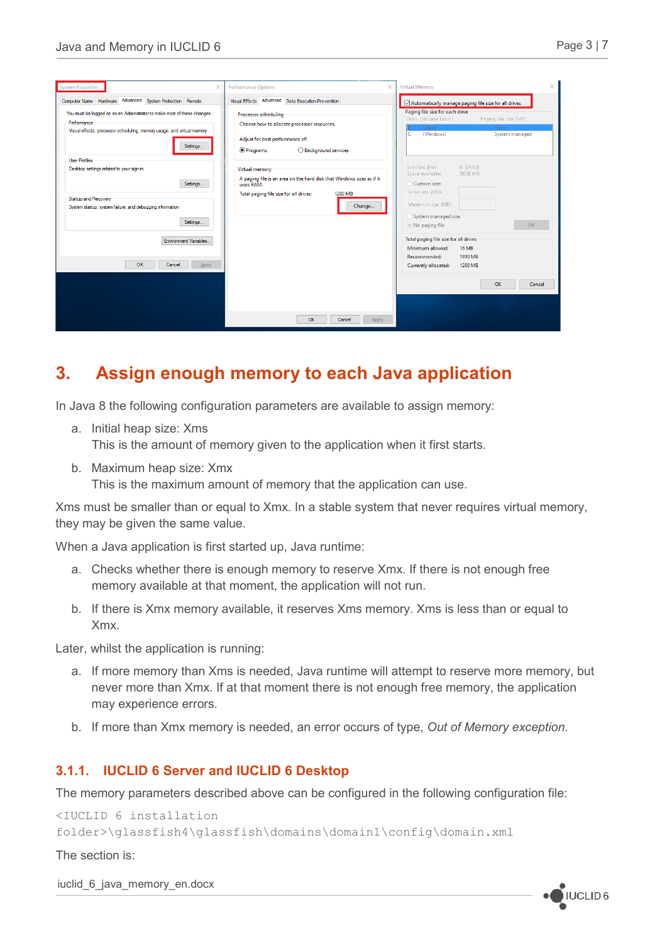|--|

| System Properties                                                                                                                                                             | <b>Performance Options</b><br>×                                                                                                                                    | <b>Virtual Memory</b><br>$\times$                                                                                                                                            |
|-------------------------------------------------------------------------------------------------------------------------------------------------------------------------------|--------------------------------------------------------------------------------------------------------------------------------------------------------------------|------------------------------------------------------------------------------------------------------------------------------------------------------------------------------|
| Computer Name Hardware Advanced System Protection Remote                                                                                                                      | Visual Effects Advanced Data Execution Prevention                                                                                                                  | Automatically manage paging file size for all drives                                                                                                                         |
| You must be logged on as an Administrator to make most of these changes.<br>Performance<br>Visual effects, processor scheduling, memory usage, and virtual memory<br>Settings | Processor scheduling<br>Choose how to allocate processor resources.<br>Adjust for best performance of:<br><b>O</b> Programs<br>◯ Background services               | Paging file size for each drive<br>Drive [Volume Label]<br>Paging File Size (MB)<br>[Data]<br>None<br>C.<br>[Windows]<br>System managed                                      |
| <b>User Profiles</b><br>Desktop settings related to your sign-in<br>Settings<br>Startup and Recovery<br>System startup, system failure, and debugging information<br>Settings | Virtual memory<br>A paging file is an area on the hard disk that Windows uses as if it<br>were RAM.<br>Total paging file size for all drives:<br>1280 MB<br>Change | Selected drive:<br>B: [Data]<br>36385 MB<br>Space available:<br>○ Custom size:<br>Initial size (MB):<br>Maximum size (MB):<br>System managed size<br>Set<br>◎ No paging file |
| <b>Environment Variables.</b><br>OK<br>Cancel<br>Apply                                                                                                                        |                                                                                                                                                                    | Total paging file size for all drives<br>Minimum allowed:<br><b>16 MB</b><br>1910 MB<br>Recommended:<br>Currently allocated:<br>1280 MB<br>OK<br>Cancel                      |
|                                                                                                                                                                               | OK<br>Cancel<br>Apply                                                                                                                                              |                                                                                                                                                                              |

### <span id="page-2-0"></span>**3. Assign enough memory to each Java application**

In Java 8 the following configuration parameters are available to assign memory:

- a. Initial heap size: Xms This is the amount of memory given to the application when it first starts.
- b. Maximum heap size: Xmx

This is the maximum amount of memory that the application can use.

Xms must be smaller than or equal to Xmx. In a stable system that never requires virtual memory, they may be given the same value.

When a Java application is first started up, Java runtime:

- a. Checks whether there is enough memory to reserve Xmx. If there is not enough free memory available at that moment, the application will not run.
- b. If there is Xmx memory available, it reserves Xms memory. Xms is less than or equal to Xmx.

Later, whilst the application is running:

- a. If more memory than Xms is needed, Java runtime will attempt to reserve more memory, but never more than Xmx. If at that moment there is not enough free memory, the application may experience errors.
- b. If more than Xmx memory is needed, an error occurs of type, *Out of Memory exception*.

#### <span id="page-2-1"></span>**3.1.1. IUCLID 6 Server and IUCLID 6 Desktop**

The memory parameters described above can be configured in the following configuration file:

```
<IUCLID 6 installation 
folder>\glassfish4\glassfish\domains\domain1\config\domain.xml
```
The section is:

iuclid 6 java\_memory\_en.docx

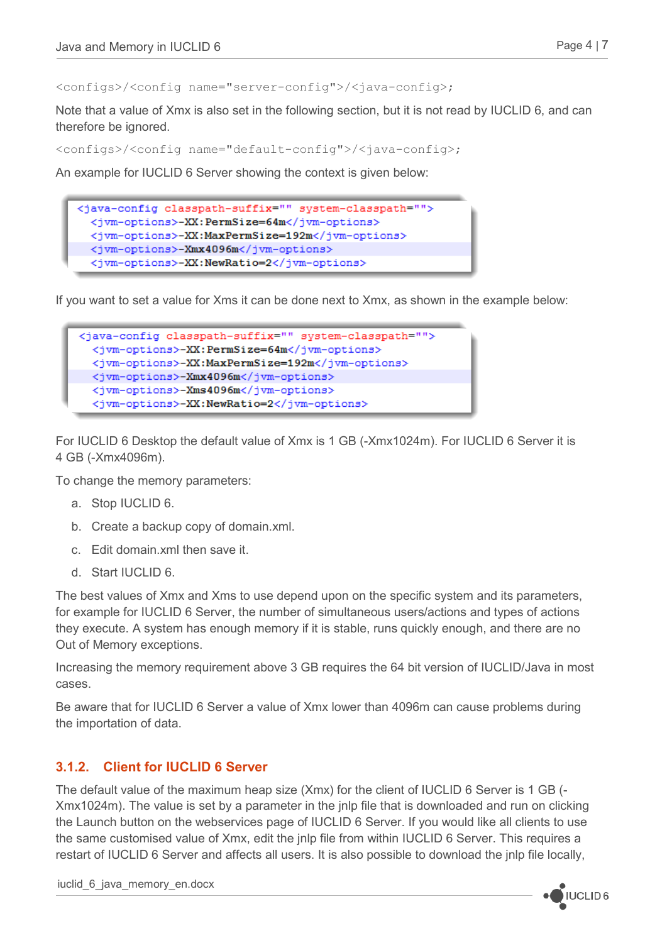<configs>/<config name="server-config">/<java-config>;

Note that a value of Xmx is also set in the following section, but it is not read by IUCLID 6, and can therefore be ignored.

<configs>/<config name="default-config">/<java-config>;

An example for IUCLID 6 Server showing the context is given below:



If you want to set a value for Xms it can be done next to Xmx, as shown in the example below:



For IUCLID 6 Desktop the default value of Xmx is 1 GB (-Xmx1024m). For IUCLID 6 Server it is 4 GB (-Xmx4096m).

To change the memory parameters:

- a. Stop IUCLID 6.
- b. Create a backup copy of domain.xml.
- c. Edit domain.xml then save it.
- d. Start IUCLID 6.

The best values of Xmx and Xms to use depend upon on the specific system and its parameters, for example for IUCLID 6 Server, the number of simultaneous users/actions and types of actions they execute. A system has enough memory if it is stable, runs quickly enough, and there are no Out of Memory exceptions.

Increasing the memory requirement above 3 GB requires the 64 bit version of IUCLID/Java in most cases.

Be aware that for IUCLID 6 Server a value of Xmx lower than 4096m can cause problems during the importation of data.

#### <span id="page-3-0"></span>**3.1.2. Client for IUCLID 6 Server**

The default value of the maximum heap size (Xmx) for the client of IUCLID 6 Server is 1 GB (- Xmx1024m). The value is set by a parameter in the jnlp file that is downloaded and run on clicking the Launch button on the webservices page of IUCLID 6 Server. If you would like all clients to use the same customised value of Xmx, edit the jnlp file from within IUCLID 6 Server. This requires a restart of IUCLID 6 Server and affects all users. It is also possible to download the jnlp file locally,

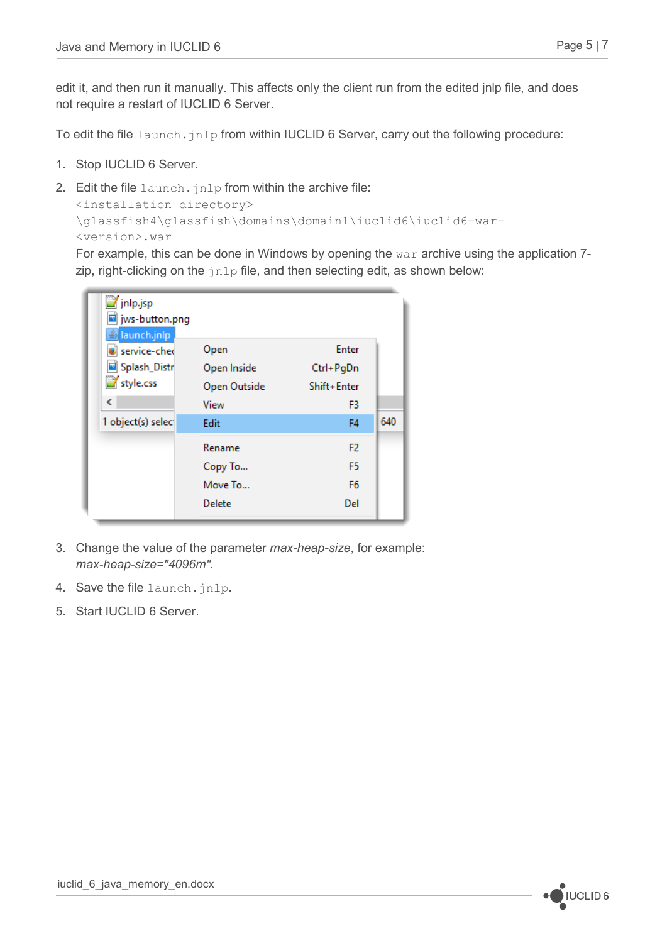edit it, and then run it manually. This affects only the client run from the edited jnlp file, and does not require a restart of IUCLID 6 Server.

To edit the file launch.  $jnlp$  from within IUCLID 6 Server, carry out the following procedure:

- 1. Stop IUCLID 6 Server.
- 2. Edit the file launch.jnlp from within the archive file: <installation directory> \glassfish4\glassfish\domains\domain1\iuclid6\iuclid6-war- <version>.war

For example, this can be done in Windows by opening the  $war$  archive using the application 7zip, right-clicking on the  $jnlp$  file, and then selecting edit, as shown below:

| inlp.jsp<br>ivs-button.png<br><u> ≜ launch.jnlp</u> |              |                |     |
|-----------------------------------------------------|--------------|----------------|-----|
| service-ched                                        | Open         | Enter          |     |
| Splash_Distr                                        | Open Inside  | Ctrl+PgDn      |     |
| style.css                                           | Open Outside | Shift+Enter    |     |
| ∢                                                   | View         | F3             |     |
| 1 object(s) select                                  | Edit         | F4             | 640 |
|                                                     | Rename       | F <sub>2</sub> |     |
|                                                     | Copy To      | F5.            |     |
|                                                     | Move To      | F <sub>6</sub> |     |
|                                                     | Delete       | Del            |     |

- 3. Change the value of the parameter *max-heap-size*, for example: *max-heap-size="4096m"*.
- 4. Save the file launch.jnlp.
- 5. Start IUCLID 6 Server.

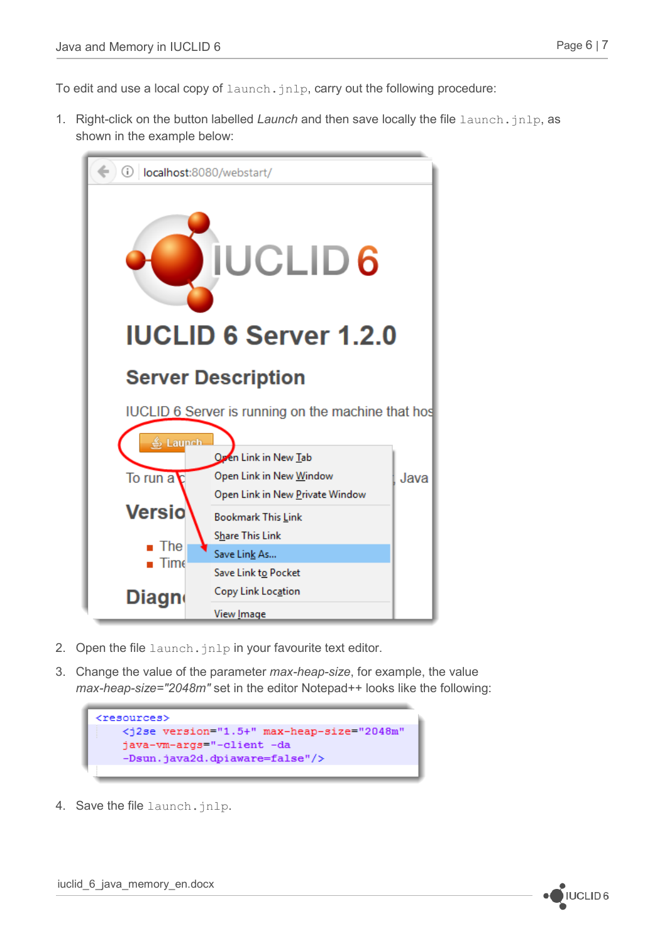To edit and use a local copy of  $l$  aunch,  $j$ nlp, carry out the following procedure:

1. Right-click on the button labelled *Launch* and then save locally the file launch, inlp, as shown in the example below:



- 2. Open the file launch. jnlp in your favourite text editor.
- 3. Change the value of the parameter *max-heap-size*, for example, the value *max-heap-size="2048m"* set in the editor Notepad++ looks like the following:

```
<resources>
   <j2se version="1.5+" max-heap-size="2048m"
   java-vm-args="-client -da
   -Dsun.java2d.dpiaware=false"/>
```
4. Save the file launch.jnlp.